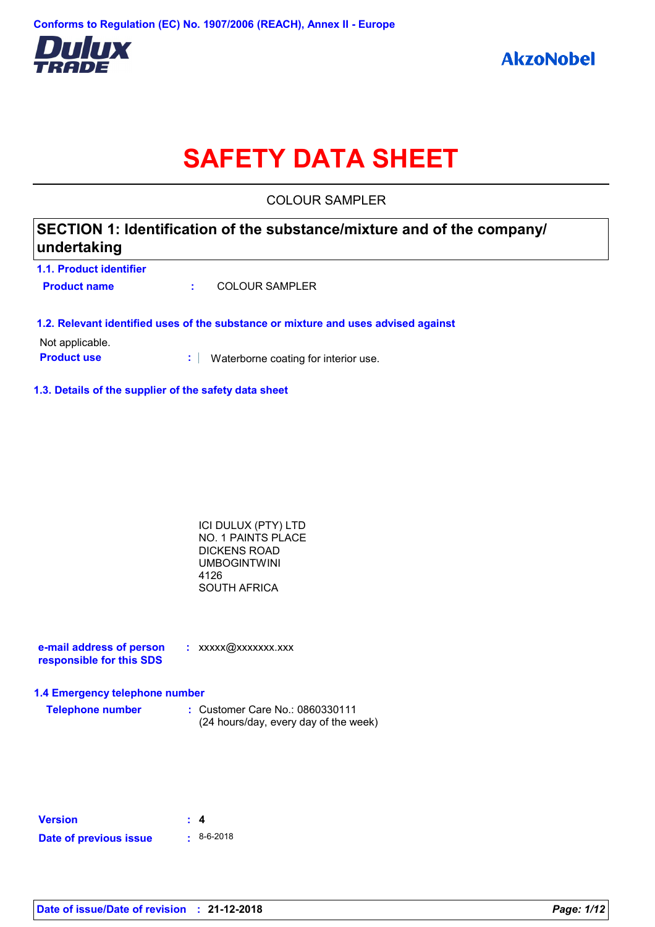

# **SAFETY DATA SHEET**

COLOUR SAMPLER

# **SECTION 1: Identification of the substance/mixture and of the company/ undertaking**

| 1.1. Product identifier |                |
|-------------------------|----------------|
| <b>Product name</b>     | COLOUR SAMPLER |

### **1.2. Relevant identified uses of the substance or mixture and uses advised against**

Not applicable.

**Product use <b>:** Waterborne coating for interior use.

### **1.3. Details of the supplier of the safety data sheet**

| ICI DULUX (PTY) LTD |  |
|---------------------|--|
| NO. 1 PAINTS PLACE  |  |
| DICKENS ROAD        |  |
| UMBOGINTWINI        |  |
| 4126                |  |
| SOUTH AFRICA        |  |

**e-mail address of person responsible for this SDS :** xxxxx@xxxxxxx.xxx

### **1.4 Emergency telephone number**

| <b>Telephone number</b> | : Customer Care No.: 0860330111       |
|-------------------------|---------------------------------------|
|                         | (24 hours/day, every day of the week) |

| <b>Version</b>         | $\pm$ 4          |
|------------------------|------------------|
| Date of previous issue | $\cdot$ 8-6-2018 |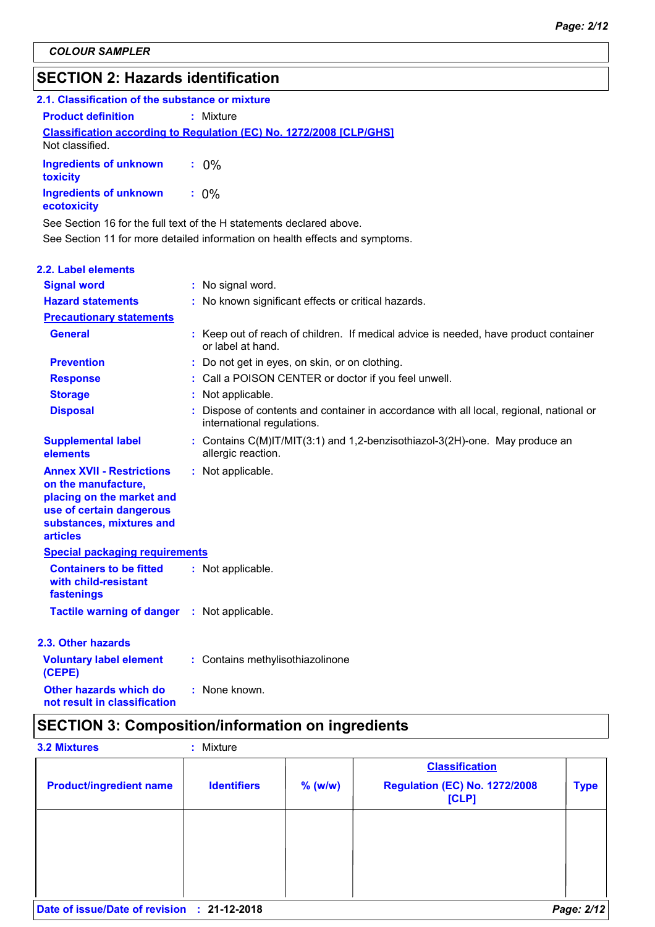# **SECTION 2: Hazards identification**

| 2.1. Classification of the substance or mixture |                                                                            |
|-------------------------------------------------|----------------------------------------------------------------------------|
| <b>Product definition</b>                       | : Mixture                                                                  |
| Not classified.                                 | <b>Classification according to Regulation (EC) No. 1272/2008 [CLP/GHS]</b> |
| <b>Ingredients of unknown</b><br>toxicity       | $: 0\%$                                                                    |
| <b>Ingredients of unknown</b><br>ecotoxicity    | $: 0\%$                                                                    |

See Section 11 for more detailed information on health effects and symptoms. See Section 16 for the full text of the H statements declared above.

| <b>2.2. Label elements</b>                                                                                                                                      |                                                                                                                     |
|-----------------------------------------------------------------------------------------------------------------------------------------------------------------|---------------------------------------------------------------------------------------------------------------------|
| <b>Signal word</b>                                                                                                                                              | : No signal word.                                                                                                   |
| <b>Hazard statements</b>                                                                                                                                        | : No known significant effects or critical hazards.                                                                 |
| <b>Precautionary statements</b>                                                                                                                                 |                                                                                                                     |
| <b>General</b>                                                                                                                                                  | : Keep out of reach of children. If medical advice is needed, have product container<br>or label at hand.           |
| <b>Prevention</b>                                                                                                                                               | : Do not get in eyes, on skin, or on clothing.                                                                      |
| <b>Response</b>                                                                                                                                                 | : Call a POISON CENTER or doctor if you feel unwell.                                                                |
| <b>Storage</b>                                                                                                                                                  | : Not applicable.                                                                                                   |
| <b>Disposal</b>                                                                                                                                                 | Dispose of contents and container in accordance with all local, regional, national or<br>international regulations. |
| <b>Supplemental label</b><br>elements                                                                                                                           | : Contains C(M)IT/MIT(3:1) and 1,2-benzisothiazol-3(2H)-one. May produce an<br>allergic reaction.                   |
| <b>Annex XVII - Restrictions</b><br>on the manufacture,<br>placing on the market and<br>use of certain dangerous<br>substances, mixtures and<br><b>articles</b> | : Not applicable.                                                                                                   |
| <b>Special packaging requirements</b>                                                                                                                           |                                                                                                                     |
| <b>Containers to be fitted</b><br>with child-resistant<br>fastenings                                                                                            | : Not applicable.                                                                                                   |
| <b>Tactile warning of danger</b>                                                                                                                                | : Not applicable.                                                                                                   |
| 2.3. Other hazards                                                                                                                                              |                                                                                                                     |
| <b>Voluntary label element</b><br>(CEPE)                                                                                                                        | : Contains methylisothiazolinone                                                                                    |
| <b>Other hazards which do</b><br>not result in classification                                                                                                   | : None known.                                                                                                       |

# **SECTION 3: Composition/information on ingredients**

|                                |                    |           | <b>Classification</b>                         |             |
|--------------------------------|--------------------|-----------|-----------------------------------------------|-------------|
| <b>Product/ingredient name</b> | <b>Identifiers</b> | $%$ (w/w) | <b>Regulation (EC) No. 1272/2008</b><br>[CLP] | <b>Type</b> |
|                                |                    |           |                                               |             |
|                                |                    |           |                                               |             |
|                                |                    |           |                                               |             |
| Date of issue/Date of revision | $: 21-12-2018$     |           |                                               | Page: 2/12  |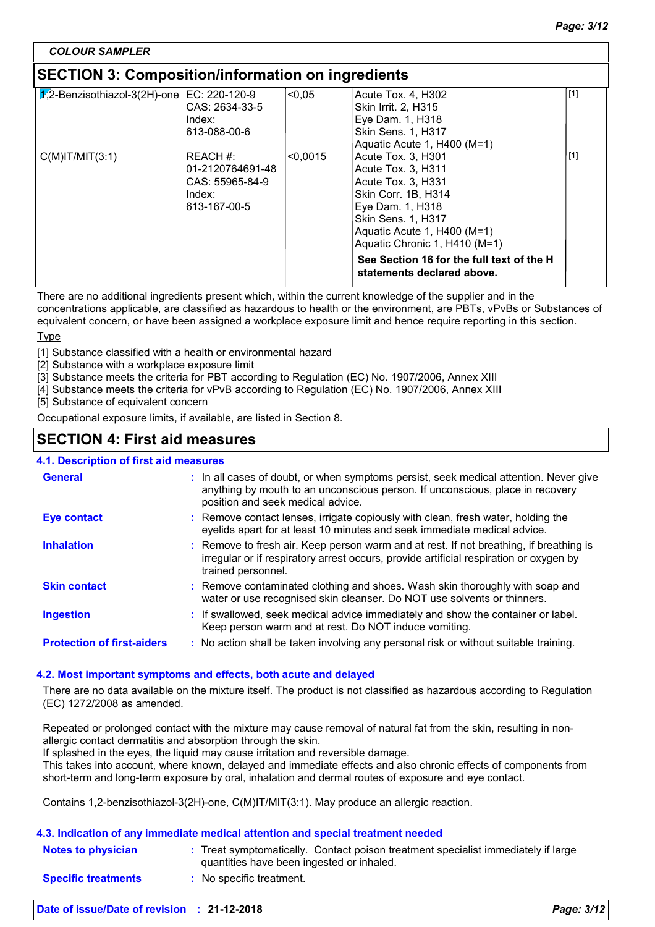## **SECTION 3: Composition/information on ingredients**

| $\sqrt{2}$ -Benzisothiazol-3(2H)-one   EC: 220-120-9 | CAS: 2634-33-5   | < 0.05   | Acute Tox. 4, H302<br>Skin Irrit. 2. H315                               | [1]   |
|------------------------------------------------------|------------------|----------|-------------------------------------------------------------------------|-------|
|                                                      | Index:           |          | Eye Dam. 1, H318                                                        |       |
|                                                      | 613-088-00-6     |          | Skin Sens. 1, H317<br>Aquatic Acute 1, H400 (M=1)                       |       |
| $C(M)$ IT/MIT $(3:1)$                                | REACH #:         | < 0.0015 | Acute Tox. 3, H301                                                      | $[1]$ |
|                                                      | 01-2120764691-48 |          | Acute Tox. 3, H311                                                      |       |
|                                                      | CAS: 55965-84-9  |          | Acute Tox. 3, H331                                                      |       |
|                                                      | Index:           |          | Skin Corr. 1B, H314                                                     |       |
|                                                      | 613-167-00-5     |          | Eye Dam. 1, H318                                                        |       |
|                                                      |                  |          | Skin Sens. 1, H317                                                      |       |
|                                                      |                  |          | Aquatic Acute 1, H400 (M=1)                                             |       |
|                                                      |                  |          | Aquatic Chronic 1, H410 (M=1)                                           |       |
|                                                      |                  |          | See Section 16 for the full text of the H<br>statements declared above. |       |
|                                                      |                  |          |                                                                         |       |

There are no additional ingredients present which, within the current knowledge of the supplier and in the concentrations applicable, are classified as hazardous to health or the environment, are PBTs, vPvBs or Substances of equivalent concern, or have been assigned a workplace exposure limit and hence require reporting in this section.

### Type

[1] Substance classified with a health or environmental hazard

[2] Substance with a workplace exposure limit

[3] Substance meets the criteria for PBT according to Regulation (EC) No. 1907/2006, Annex XIII

[4] Substance meets the criteria for vPvB according to Regulation (EC) No. 1907/2006, Annex XIII

[5] Substance of equivalent concern

Occupational exposure limits, if available, are listed in Section 8.

### **SECTION 4: First aid measures**

### **4.1. Description of first aid measures**

| <b>General</b>                    | : In all cases of doubt, or when symptoms persist, seek medical attention. Never give<br>anything by mouth to an unconscious person. If unconscious, place in recovery<br>position and seek medical advice. |
|-----------------------------------|-------------------------------------------------------------------------------------------------------------------------------------------------------------------------------------------------------------|
| Eye contact                       | : Remove contact lenses, irrigate copiously with clean, fresh water, holding the<br>eyelids apart for at least 10 minutes and seek immediate medical advice.                                                |
| <b>Inhalation</b>                 | : Remove to fresh air. Keep person warm and at rest. If not breathing, if breathing is<br>irregular or if respiratory arrest occurs, provide artificial respiration or oxygen by<br>trained personnel.      |
| <b>Skin contact</b>               | : Remove contaminated clothing and shoes. Wash skin thoroughly with soap and<br>water or use recognised skin cleanser. Do NOT use solvents or thinners.                                                     |
| <b>Ingestion</b>                  | : If swallowed, seek medical advice immediately and show the container or label.<br>Keep person warm and at rest. Do NOT induce vomiting.                                                                   |
| <b>Protection of first-aiders</b> | : No action shall be taken involving any personal risk or without suitable training.                                                                                                                        |

### **4.2. Most important symptoms and effects, both acute and delayed**

There are no data available on the mixture itself. The product is not classified as hazardous according to Regulation (EC) 1272/2008 as amended.

Repeated or prolonged contact with the mixture may cause removal of natural fat from the skin, resulting in nonallergic contact dermatitis and absorption through the skin.

If splashed in the eyes, the liquid may cause irritation and reversible damage.

This takes into account, where known, delayed and immediate effects and also chronic effects of components from short-term and long-term exposure by oral, inhalation and dermal routes of exposure and eye contact.

Contains 1,2-benzisothiazol-3(2H)-one, C(M)IT/MIT(3:1). May produce an allergic reaction.

### **Notes to physician Treat symptomatically. Contact poison treatment specialist immediately if large :** quantities have been ingested or inhaled. **Specific treatments 4.3. Indication of any immediate medical attention and special treatment needed :** No specific treatment.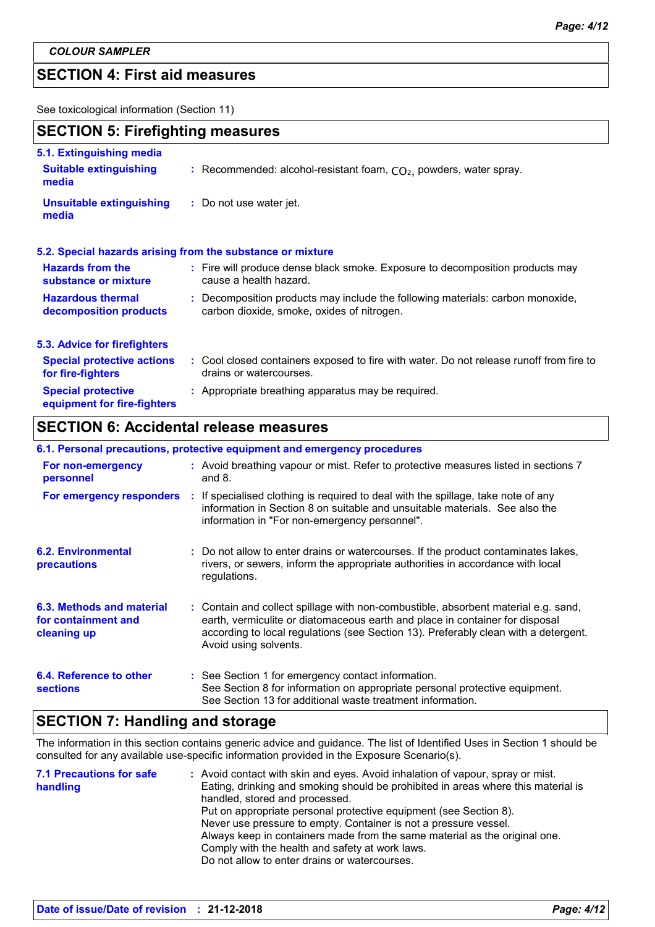## **SECTION 4: First aid measures**

See toxicological information (Section 11)

### **SECTION 5: Firefighting measures**

| 5.1. Extinguishing media                                 |                                                                                                                              |
|----------------------------------------------------------|------------------------------------------------------------------------------------------------------------------------------|
| <b>Suitable extinguishing</b><br>media                   | : Recommended: alcohol-resistant foam, $CO2$ , powders, water spray.                                                         |
| <b>Unsuitable extinguishing</b><br>media                 | : Do not use water jet.                                                                                                      |
|                                                          | 5.2. Special hazards arising from the substance or mixture                                                                   |
| <b>Hazards from the</b><br>substance or mixture          | : Fire will produce dense black smoke. Exposure to decomposition products may<br>cause a health hazard.                      |
| <b>Hazardous thermal</b><br>decomposition products       | : Decomposition products may include the following materials: carbon monoxide,<br>carbon dioxide, smoke, oxides of nitrogen. |
| 5.3. Advice for firefighters                             |                                                                                                                              |
| <b>Special protective actions</b><br>for fire-fighters   | : Cool closed containers exposed to fire with water. Do not release runoff from fire to<br>drains or watercourses.           |
| <b>Special protective</b><br>equipment for fire-fighters | : Appropriate breathing apparatus may be required.                                                                           |

# **SECTION 6: Accidental release measures**

|                                                                 | 6.1. Personal precautions, protective equipment and emergency procedures                                                                                                                                                                                                           |
|-----------------------------------------------------------------|------------------------------------------------------------------------------------------------------------------------------------------------------------------------------------------------------------------------------------------------------------------------------------|
| For non-emergency<br>personnel                                  | : Avoid breathing vapour or mist. Refer to protective measures listed in sections 7<br>and $8$ .                                                                                                                                                                                   |
|                                                                 | For emergency responders : If specialised clothing is required to deal with the spillage, take note of any<br>information in Section 8 on suitable and unsuitable materials. See also the<br>information in "For non-emergency personnel".                                         |
| <b>6.2. Environmental</b><br>precautions                        | : Do not allow to enter drains or watercourses. If the product contaminates lakes,<br>rivers, or sewers, inform the appropriate authorities in accordance with local<br>regulations.                                                                                               |
| 6.3. Methods and material<br>for containment and<br>cleaning up | : Contain and collect spillage with non-combustible, absorbent material e.g. sand,<br>earth, vermiculite or diatomaceous earth and place in container for disposal<br>according to local regulations (see Section 13). Preferably clean with a detergent.<br>Avoid using solvents. |
| 6.4. Reference to other<br><b>sections</b>                      | : See Section 1 for emergency contact information.<br>See Section 8 for information on appropriate personal protective equipment.<br>See Section 13 for additional waste treatment information.                                                                                    |

# **SECTION 7: Handling and storage**

The information in this section contains generic advice and guidance. The list of Identified Uses in Section 1 should be consulted for any available use-specific information provided in the Exposure Scenario(s).

| <b>7.1 Precautions for safe</b> | : Avoid contact with skin and eyes. Avoid inhalation of vapour, spray or mist.    |
|---------------------------------|-----------------------------------------------------------------------------------|
| handling                        | Eating, drinking and smoking should be prohibited in areas where this material is |
|                                 | handled, stored and processed.                                                    |
|                                 | Put on appropriate personal protective equipment (see Section 8).                 |
|                                 | Never use pressure to empty. Container is not a pressure vessel.                  |
|                                 | Always keep in containers made from the same material as the original one.        |
|                                 | Comply with the health and safety at work laws.                                   |
|                                 | Do not allow to enter drains or watercourses.                                     |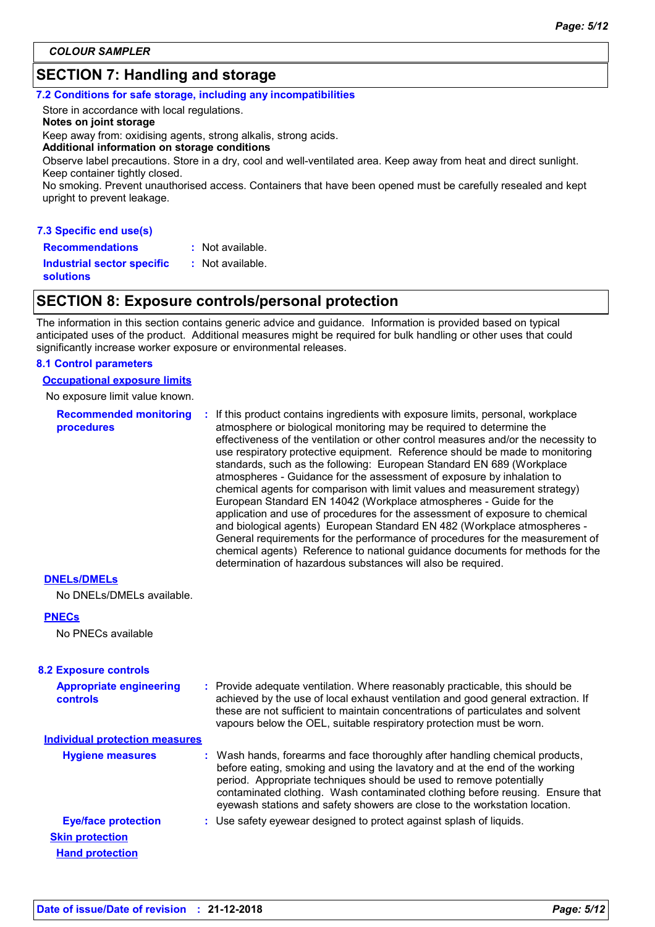# **SECTION 7: Handling and storage**

#### **7.2 Conditions for safe storage, including any incompatibilities**

Store in accordance with local regulations. **Notes on joint storage** Keep away from: oxidising agents, strong alkalis, strong acids. **Additional information on storage conditions**

Observe label precautions. Store in a dry, cool and well-ventilated area. Keep away from heat and direct sunlight. Keep container tightly closed.

No smoking. Prevent unauthorised access. Containers that have been opened must be carefully resealed and kept upright to prevent leakage.

| 7.3 Specific end use(s) |
|-------------------------|
|-------------------------|

**Recommendations :**

**Industrial sector specific :**

: Not available.

**solutions**

### **SECTION 8: Exposure controls/personal protection**

: Not available.

The information in this section contains generic advice and guidance. Information is provided based on typical anticipated uses of the product. Additional measures might be required for bulk handling or other uses that could significantly increase worker exposure or environmental releases.

#### **8.1 Control parameters**

**Occupational exposure limits**

No exposure limit value known.

**Recommended monitoring procedures :** If this product contains ingredients with exposure limits, personal, workplace atmosphere or biological monitoring may be required to determine the effectiveness of the ventilation or other control measures and/or the necessity to use respiratory protective equipment. Reference should be made to monitoring standards, such as the following: European Standard EN 689 (Workplace atmospheres - Guidance for the assessment of exposure by inhalation to chemical agents for comparison with limit values and measurement strategy) European Standard EN 14042 (Workplace atmospheres - Guide for the application and use of procedures for the assessment of exposure to chemical and biological agents) European Standard EN 482 (Workplace atmospheres - General requirements for the performance of procedures for the measurement of chemical agents) Reference to national guidance documents for methods for the determination of hazardous substances will also be required.

### **DNELs/DMELs**

No DNELs/DMELs available.

### **PNECs**

No PNECs available

| <b>Appropriate engineering</b><br>controls       | : Provide adequate ventilation. Where reasonably practicable, this should be<br>achieved by the use of local exhaust ventilation and good general extraction. If<br>these are not sufficient to maintain concentrations of particulates and solvent<br>vapours below the OEL, suitable respiratory protection must be worn.                                                                       |
|--------------------------------------------------|---------------------------------------------------------------------------------------------------------------------------------------------------------------------------------------------------------------------------------------------------------------------------------------------------------------------------------------------------------------------------------------------------|
| Individual protection measures                   |                                                                                                                                                                                                                                                                                                                                                                                                   |
| <b>Hygiene measures</b>                          | : Wash hands, forearms and face thoroughly after handling chemical products,<br>before eating, smoking and using the lavatory and at the end of the working<br>period. Appropriate techniques should be used to remove potentially<br>contaminated clothing. Wash contaminated clothing before reusing. Ensure that<br>eyewash stations and safety showers are close to the workstation location. |
| <b>Eye/face protection</b>                       | : Use safety eyewear designed to protect against splash of liquids.                                                                                                                                                                                                                                                                                                                               |
| <b>Skin protection</b><br><b>Hand protection</b> |                                                                                                                                                                                                                                                                                                                                                                                                   |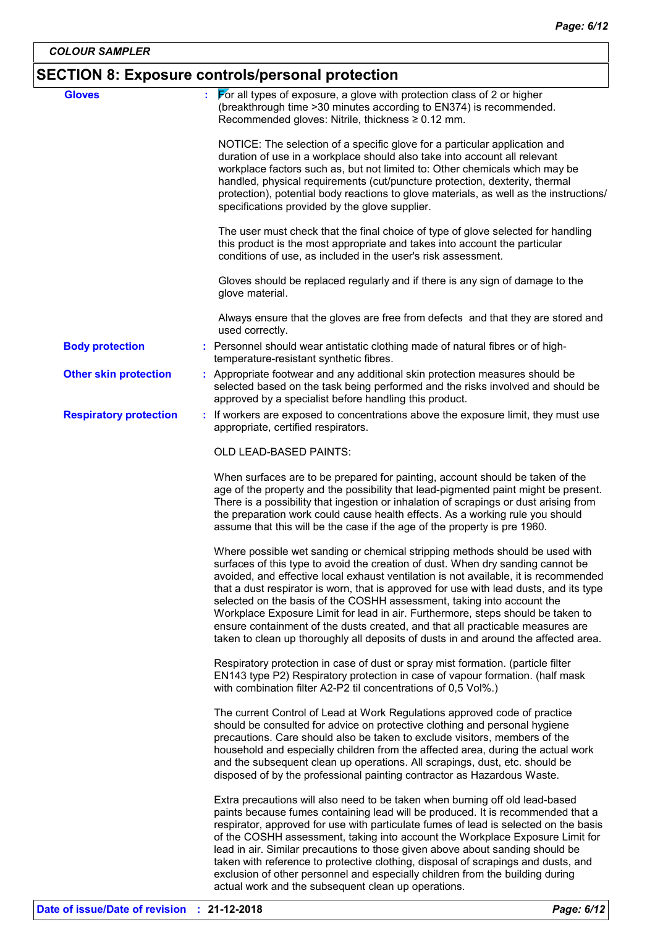# **SECTION 8: Exposure controls/personal protection**

| <b>Gloves</b>                 | $\triangleright$ or all types of exposure, a glove with protection class of 2 or higher                                                                                                                                                                                                                                                                                                                                                                                                                                                                                                                                                                                                 |
|-------------------------------|-----------------------------------------------------------------------------------------------------------------------------------------------------------------------------------------------------------------------------------------------------------------------------------------------------------------------------------------------------------------------------------------------------------------------------------------------------------------------------------------------------------------------------------------------------------------------------------------------------------------------------------------------------------------------------------------|
|                               | (breakthrough time > 30 minutes according to EN374) is recommended.<br>Recommended gloves: Nitrile, thickness ≥ 0.12 mm.                                                                                                                                                                                                                                                                                                                                                                                                                                                                                                                                                                |
|                               | NOTICE: The selection of a specific glove for a particular application and<br>duration of use in a workplace should also take into account all relevant<br>workplace factors such as, but not limited to: Other chemicals which may be<br>handled, physical requirements (cut/puncture protection, dexterity, thermal<br>protection), potential body reactions to glove materials, as well as the instructions/<br>specifications provided by the glove supplier.                                                                                                                                                                                                                       |
|                               | The user must check that the final choice of type of glove selected for handling<br>this product is the most appropriate and takes into account the particular<br>conditions of use, as included in the user's risk assessment.                                                                                                                                                                                                                                                                                                                                                                                                                                                         |
|                               | Gloves should be replaced regularly and if there is any sign of damage to the<br>glove material.                                                                                                                                                                                                                                                                                                                                                                                                                                                                                                                                                                                        |
|                               | Always ensure that the gloves are free from defects and that they are stored and<br>used correctly.                                                                                                                                                                                                                                                                                                                                                                                                                                                                                                                                                                                     |
| <b>Body protection</b>        | : Personnel should wear antistatic clothing made of natural fibres or of high-<br>temperature-resistant synthetic fibres.                                                                                                                                                                                                                                                                                                                                                                                                                                                                                                                                                               |
| <b>Other skin protection</b>  | : Appropriate footwear and any additional skin protection measures should be<br>selected based on the task being performed and the risks involved and should be<br>approved by a specialist before handling this product.                                                                                                                                                                                                                                                                                                                                                                                                                                                               |
| <b>Respiratory protection</b> | : If workers are exposed to concentrations above the exposure limit, they must use<br>appropriate, certified respirators.                                                                                                                                                                                                                                                                                                                                                                                                                                                                                                                                                               |
|                               | <b>OLD LEAD-BASED PAINTS:</b>                                                                                                                                                                                                                                                                                                                                                                                                                                                                                                                                                                                                                                                           |
|                               | When surfaces are to be prepared for painting, account should be taken of the<br>age of the property and the possibility that lead-pigmented paint might be present.<br>There is a possibility that ingestion or inhalation of scrapings or dust arising from<br>the preparation work could cause health effects. As a working rule you should<br>assume that this will be the case if the age of the property is pre 1960.                                                                                                                                                                                                                                                             |
|                               | Where possible wet sanding or chemical stripping methods should be used with<br>surfaces of this type to avoid the creation of dust. When dry sanding cannot be<br>avoided, and effective local exhaust ventilation is not available, it is recommended<br>that a dust respirator is worn, that is approved for use with lead dusts, and its type<br>selected on the basis of the COSHH assessment, taking into account the<br>Workplace Exposure Limit for lead in air. Furthermore, steps should be taken to<br>ensure containment of the dusts created, and that all practicable measures are<br>taken to clean up thoroughly all deposits of dusts in and around the affected area. |
|                               | Respiratory protection in case of dust or spray mist formation. (particle filter<br>EN143 type P2) Respiratory protection in case of vapour formation. (half mask<br>with combination filter A2-P2 til concentrations of 0,5 Vol%.)                                                                                                                                                                                                                                                                                                                                                                                                                                                     |
|                               | The current Control of Lead at Work Regulations approved code of practice<br>should be consulted for advice on protective clothing and personal hygiene<br>precautions. Care should also be taken to exclude visitors, members of the<br>household and especially children from the affected area, during the actual work<br>and the subsequent clean up operations. All scrapings, dust, etc. should be<br>disposed of by the professional painting contractor as Hazardous Waste.                                                                                                                                                                                                     |
|                               | Extra precautions will also need to be taken when burning off old lead-based<br>paints because fumes containing lead will be produced. It is recommended that a<br>respirator, approved for use with particulate fumes of lead is selected on the basis<br>of the COSHH assessment, taking into account the Workplace Exposure Limit for<br>lead in air. Similar precautions to those given above about sanding should be<br>taken with reference to protective clothing, disposal of scrapings and dusts, and<br>exclusion of other personnel and especially children from the building during<br>actual work and the subsequent clean up operations.                                  |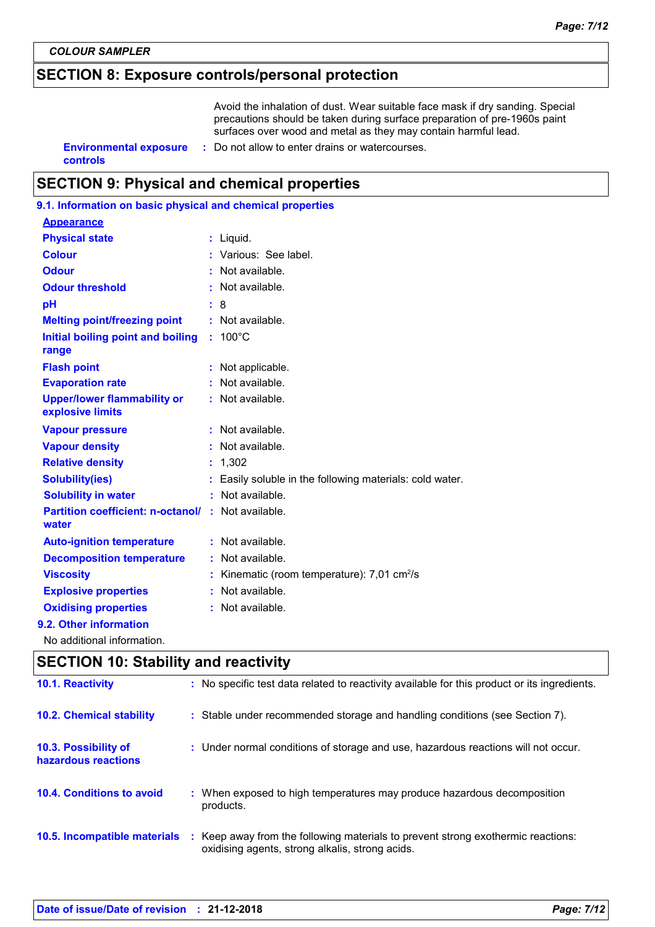# **SECTION 8: Exposure controls/personal protection**

Avoid the inhalation of dust. Wear suitable face mask if dry sanding. Special precautions should be taken during surface preparation of pre-1960s paint surfaces over wood and metal as they may contain harmful lead.

|          | <b>Environmental exposure :</b> Do not allow to enter drains or watercourses. |
|----------|-------------------------------------------------------------------------------|
| controls |                                                                               |

# **SECTION 9: Physical and chemical properties**

| 9.1. Information on basic physical and chemical properties |                                                           |
|------------------------------------------------------------|-----------------------------------------------------------|
| <b>Appearance</b>                                          |                                                           |
| <b>Physical state</b>                                      | : Liquid.                                                 |
| <b>Colour</b>                                              | : Various: See label.                                     |
| <b>Odour</b>                                               | : Not available.                                          |
| <b>Odour threshold</b>                                     | : Not available.                                          |
| pH                                                         | : 8                                                       |
| <b>Melting point/freezing point</b>                        | : Not available.                                          |
| Initial boiling point and boiling<br>range                 | $100^{\circ}$ C                                           |
| <b>Flash point</b>                                         | : Not applicable.                                         |
| <b>Evaporation rate</b>                                    | : Not available.                                          |
| <b>Upper/lower flammability or</b><br>explosive limits     | : Not available.                                          |
| <b>Vapour pressure</b>                                     | $:$ Not available.                                        |
| <b>Vapour density</b>                                      | : Not available.                                          |
| <b>Relative density</b>                                    | : 1,302                                                   |
| <b>Solubility(ies)</b>                                     | Easily soluble in the following materials: cold water.    |
| <b>Solubility in water</b>                                 | : Not available.                                          |
| <b>Partition coefficient: n-octanol/</b><br>water          | : Not available.                                          |
| <b>Auto-ignition temperature</b>                           | : Not available.                                          |
| <b>Decomposition temperature</b>                           | Not available.                                            |
| <b>Viscosity</b>                                           | : Kinematic (room temperature): $7,01$ cm <sup>2</sup> /s |
| <b>Explosive properties</b>                                | : Not available.                                          |
| <b>Oxidising properties</b>                                | : Not available.                                          |
| 9.2. Other information                                     |                                                           |
| No additional information.                                 |                                                           |

# **SECTION 10: Stability and reactivity**

| 10.1. Reactivity                            | : No specific test data related to reactivity available for this product or its ingredients.                                        |
|---------------------------------------------|-------------------------------------------------------------------------------------------------------------------------------------|
| <b>10.2. Chemical stability</b>             | : Stable under recommended storage and handling conditions (see Section 7).                                                         |
| 10.3. Possibility of<br>hazardous reactions | : Under normal conditions of storage and use, hazardous reactions will not occur.                                                   |
| <b>10.4. Conditions to avoid</b>            | : When exposed to high temperatures may produce hazardous decomposition<br>products.                                                |
| 10.5. Incompatible materials                | : Keep away from the following materials to prevent strong exothermic reactions:<br>oxidising agents, strong alkalis, strong acids. |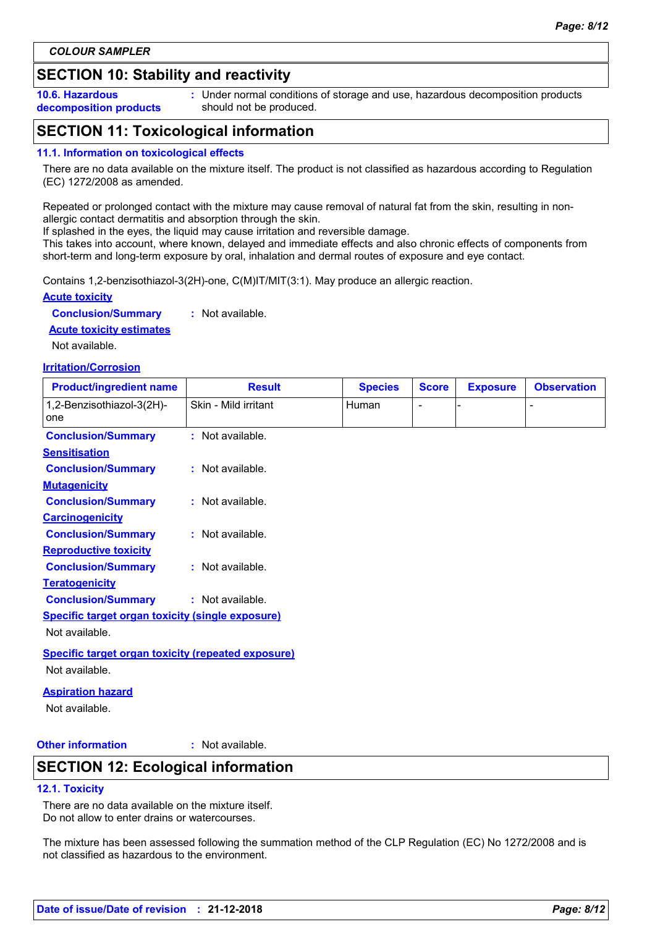# **SECTION 10: Stability and reactivity**

**10.6. Hazardous decomposition products** **:** Under normal conditions of storage and use, hazardous decomposition products should not be produced.

# **SECTION 11: Toxicological information**

### **11.1. Information on toxicological effects**

There are no data available on the mixture itself. The product is not classified as hazardous according to Regulation (EC) 1272/2008 as amended.

Repeated or prolonged contact with the mixture may cause removal of natural fat from the skin, resulting in nonallergic contact dermatitis and absorption through the skin.

If splashed in the eyes, the liquid may cause irritation and reversible damage.

This takes into account, where known, delayed and immediate effects and also chronic effects of components from short-term and long-term exposure by oral, inhalation and dermal routes of exposure and eye contact.

Contains 1,2-benzisothiazol-3(2H)-one, C(M)IT/MIT(3:1). May produce an allergic reaction.

### **Acute toxicity**

**Conclusion/Summary :** Not available.

### **Acute toxicity estimates**

Not available.

### **Irritation/Corrosion**

| <b>Product/ingredient name</b>                            | <b>Result</b>        | <b>Species</b> | <b>Score</b> | <b>Exposure</b> | <b>Observation</b> |
|-----------------------------------------------------------|----------------------|----------------|--------------|-----------------|--------------------|
| 1,2-Benzisothiazol-3(2H)-<br>one                          | Skin - Mild irritant | Human          |              |                 |                    |
| <b>Conclusion/Summary</b>                                 | : Not available.     |                |              |                 |                    |
| <b>Sensitisation</b>                                      |                      |                |              |                 |                    |
| <b>Conclusion/Summary</b>                                 | : Not available.     |                |              |                 |                    |
| <b>Mutagenicity</b>                                       |                      |                |              |                 |                    |
| <b>Conclusion/Summary</b>                                 | : Not available.     |                |              |                 |                    |
| <b>Carcinogenicity</b>                                    |                      |                |              |                 |                    |
| <b>Conclusion/Summary</b>                                 | : Not available.     |                |              |                 |                    |
| <b>Reproductive toxicity</b>                              |                      |                |              |                 |                    |
| <b>Conclusion/Summary</b>                                 | : Not available.     |                |              |                 |                    |
| <b>Teratogenicity</b>                                     |                      |                |              |                 |                    |
| <b>Conclusion/Summary</b>                                 | : Not available.     |                |              |                 |                    |
| <b>Specific target organ toxicity (single exposure)</b>   |                      |                |              |                 |                    |
| Not available.                                            |                      |                |              |                 |                    |
| <b>Specific target organ toxicity (repeated exposure)</b> |                      |                |              |                 |                    |
| Not available.                                            |                      |                |              |                 |                    |
| المسمدم والمستلفون المتمار                                |                      |                |              |                 |                    |

# **Aspiration hazard**

Not available.

### **Other information :**

: Not available.

### **SECTION 12: Ecological information**

### **12.1. Toxicity**

There are no data available on the mixture itself. Do not allow to enter drains or watercourses.

The mixture has been assessed following the summation method of the CLP Regulation (EC) No 1272/2008 and is not classified as hazardous to the environment.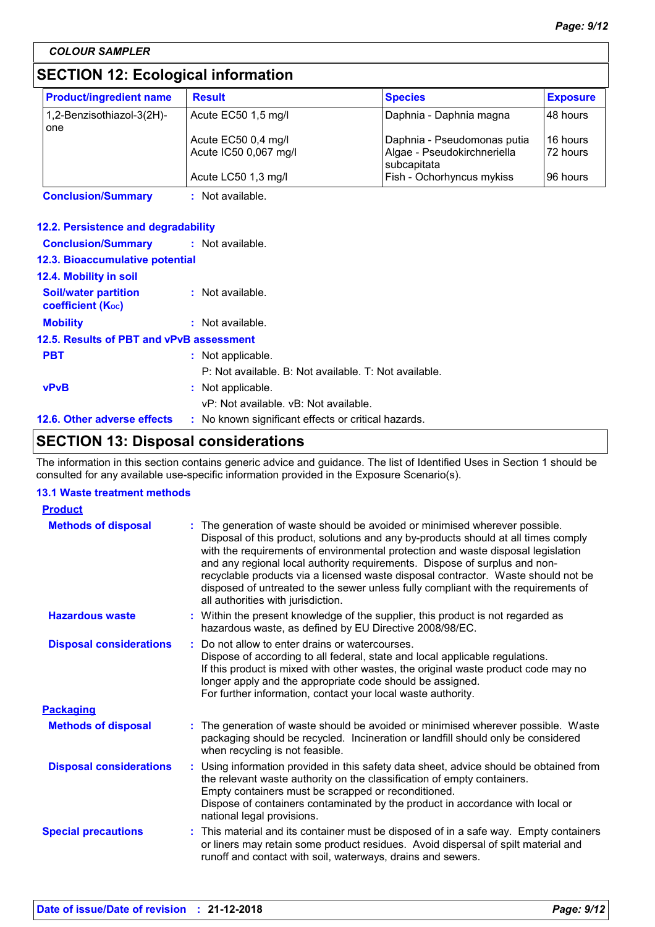# **SECTION 12: Ecological information**

| <b>Product/ingredient name</b>   | <b>Result</b>                                | <b>Species</b>                                                            | <b>Exposure</b>      |
|----------------------------------|----------------------------------------------|---------------------------------------------------------------------------|----------------------|
| 1,2-Benzisothiazol-3(2H)-<br>one | Acute EC50 1,5 mg/l                          | Daphnia - Daphnia magna                                                   | I48 hours            |
|                                  | Acute EC50 0,4 mg/l<br>Acute IC50 0,067 mg/l | Daphnia - Pseudomonas putia<br>Algae - Pseudokirchneriella<br>subcapitata | 16 hours<br>72 hours |
|                                  | Acute LC50 1,3 mg/l                          | Fish - Ochorhyncus mykiss                                                 | 196 hours            |

**Conclusion/Summary :** Not available.

### **12.2. Persistence and degradability**

| <b>Conclusion/Summary : Not available.</b>              |                                                       |
|---------------------------------------------------------|-------------------------------------------------------|
| <b>12.3. Bioaccumulative potential</b>                  |                                                       |
| 12.4. Mobility in soil                                  |                                                       |
| <b>Soil/water partition</b><br><b>coefficient (Koc)</b> | : Not available.                                      |
| <b>Mobility</b>                                         | $:$ Not available.                                    |
| 12.5. Results of PBT and vPvB assessment                |                                                       |
| <b>PBT</b>                                              | : Not applicable.                                     |
|                                                         | P: Not available. B: Not available. T: Not available. |
| <b>vPvB</b>                                             | : Not applicable.                                     |
|                                                         | vP: Not available, vB: Not available.                 |
| 12.6. Other adverse effects                             | : No known significant effects or critical hazards.   |

# **SECTION 13: Disposal considerations**

The information in this section contains generic advice and guidance. The list of Identified Uses in Section 1 should be consulted for any available use-specific information provided in the Exposure Scenario(s).

### **13.1 Waste treatment methods**

| <b>Product</b>                 |                                                                                                                                                                                                                                                                                                                                                                                                                                                                                                                                                    |  |
|--------------------------------|----------------------------------------------------------------------------------------------------------------------------------------------------------------------------------------------------------------------------------------------------------------------------------------------------------------------------------------------------------------------------------------------------------------------------------------------------------------------------------------------------------------------------------------------------|--|
| <b>Methods of disposal</b>     | The generation of waste should be avoided or minimised wherever possible.<br>Disposal of this product, solutions and any by-products should at all times comply<br>with the requirements of environmental protection and waste disposal legislation<br>and any regional local authority requirements. Dispose of surplus and non-<br>recyclable products via a licensed waste disposal contractor. Waste should not be<br>disposed of untreated to the sewer unless fully compliant with the requirements of<br>all authorities with jurisdiction. |  |
| <b>Hazardous waste</b>         | : Within the present knowledge of the supplier, this product is not regarded as<br>hazardous waste, as defined by EU Directive 2008/98/EC.                                                                                                                                                                                                                                                                                                                                                                                                         |  |
| <b>Disposal considerations</b> | : Do not allow to enter drains or watercourses.<br>Dispose of according to all federal, state and local applicable regulations.<br>If this product is mixed with other wastes, the original waste product code may no<br>longer apply and the appropriate code should be assigned.<br>For further information, contact your local waste authority.                                                                                                                                                                                                 |  |
| <b>Packaging</b>               |                                                                                                                                                                                                                                                                                                                                                                                                                                                                                                                                                    |  |
| <b>Methods of disposal</b>     | : The generation of waste should be avoided or minimised wherever possible. Waste<br>packaging should be recycled. Incineration or landfill should only be considered<br>when recycling is not feasible.                                                                                                                                                                                                                                                                                                                                           |  |
| <b>Disposal considerations</b> | : Using information provided in this safety data sheet, advice should be obtained from<br>the relevant waste authority on the classification of empty containers.<br>Empty containers must be scrapped or reconditioned.<br>Dispose of containers contaminated by the product in accordance with local or<br>national legal provisions.                                                                                                                                                                                                            |  |
| <b>Special precautions</b>     | : This material and its container must be disposed of in a safe way. Empty containers<br>or liners may retain some product residues. Avoid dispersal of spilt material and<br>runoff and contact with soil, waterways, drains and sewers.                                                                                                                                                                                                                                                                                                          |  |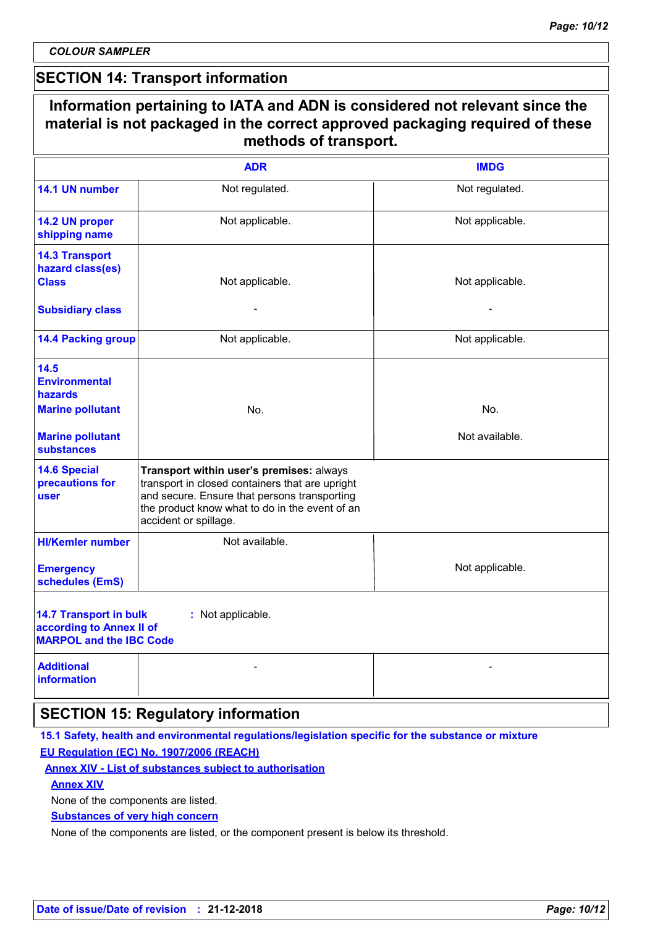$\mathsf{r}$ 

### **SECTION 14: Transport information**

|                                                                                             | <b>ADR</b>                                                                                                                                                                                                             | <b>IMDG</b>     |
|---------------------------------------------------------------------------------------------|------------------------------------------------------------------------------------------------------------------------------------------------------------------------------------------------------------------------|-----------------|
| 14.1 UN number                                                                              | Not regulated.                                                                                                                                                                                                         | Not regulated.  |
| 14.2 UN proper<br>shipping name                                                             | Not applicable.                                                                                                                                                                                                        | Not applicable. |
| <b>14.3 Transport</b><br>hazard class(es)<br><b>Class</b>                                   | Not applicable.                                                                                                                                                                                                        | Not applicable. |
| <b>Subsidiary class</b>                                                                     |                                                                                                                                                                                                                        |                 |
| <b>14.4 Packing group</b>                                                                   | Not applicable.                                                                                                                                                                                                        | Not applicable. |
| 14.5<br><b>Environmental</b><br>hazards                                                     |                                                                                                                                                                                                                        |                 |
| <b>Marine pollutant</b>                                                                     | No.                                                                                                                                                                                                                    | No.             |
| <b>Marine pollutant</b><br><b>substances</b>                                                |                                                                                                                                                                                                                        | Not available.  |
| <b>14.6 Special</b><br>precautions for<br>user                                              | Transport within user's premises: always<br>transport in closed containers that are upright<br>and secure. Ensure that persons transporting<br>the product know what to do in the event of an<br>accident or spillage. |                 |
| <b>HI/Kemler number</b>                                                                     | Not available.                                                                                                                                                                                                         |                 |
| <b>Emergency</b><br>schedules (EmS)                                                         |                                                                                                                                                                                                                        | Not applicable. |
| <b>14.7 Transport in bulk</b><br>according to Annex II of<br><b>MARPOL and the IBC Code</b> | : Not applicable.                                                                                                                                                                                                      |                 |
| <b>Additional</b><br><b>information</b>                                                     |                                                                                                                                                                                                                        |                 |

**15.1 Safety, health and environmental regulations/legislation specific for the substance or mixture EU Regulation (EC) No. 1907/2006 (REACH)**

**Annex XIV - List of substances subject to authorisation**

### **Annex XIV**

None of the components are listed.

**Substances of very high concern**

None of the components are listed, or the component present is below its threshold.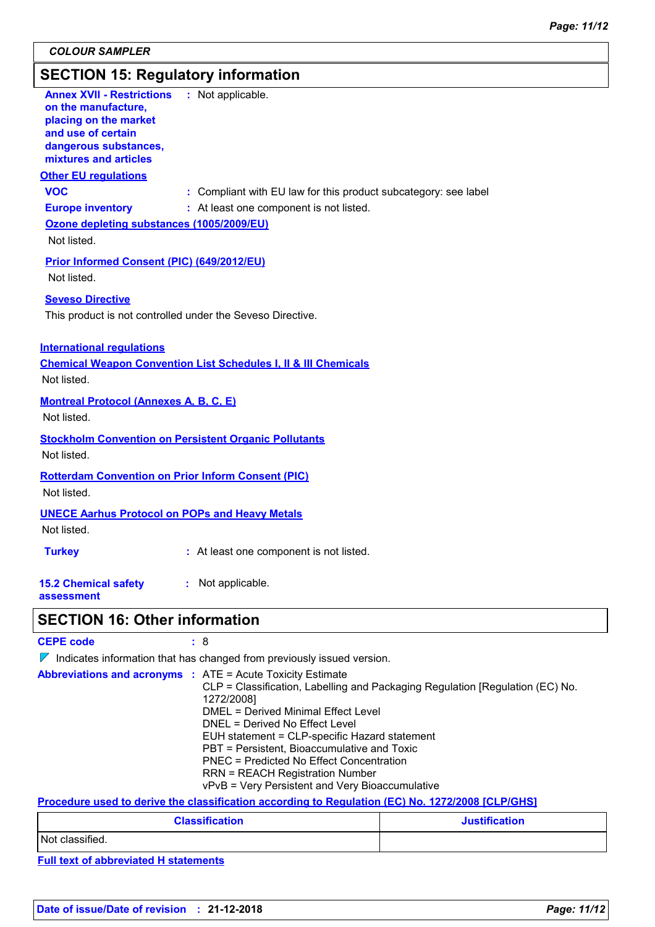# **SECTION 15: Regulatory information**

| SECTION 15: Regulatory information                                                                                                                       |                                                                                             |
|----------------------------------------------------------------------------------------------------------------------------------------------------------|---------------------------------------------------------------------------------------------|
| <b>Annex XVII - Restrictions</b><br>on the manufacture,<br>placing on the market<br>and use of certain<br>dangerous substances,<br>mixtures and articles | : Not applicable.                                                                           |
| <b>Other EU regulations</b>                                                                                                                              |                                                                                             |
| <b>VOC</b>                                                                                                                                               | : Compliant with EU law for this product subcategory: see label                             |
| <b>Europe inventory</b>                                                                                                                                  | : At least one component is not listed.                                                     |
| Ozone depleting substances (1005/2009/EU)                                                                                                                |                                                                                             |
| Not listed.                                                                                                                                              |                                                                                             |
| <b>Prior Informed Consent (PIC) (649/2012/EU)</b>                                                                                                        |                                                                                             |
| Not listed.                                                                                                                                              |                                                                                             |
| <b>Seveso Directive</b>                                                                                                                                  |                                                                                             |
| This product is not controlled under the Seveso Directive.                                                                                               |                                                                                             |
|                                                                                                                                                          |                                                                                             |
| <b>International requlations</b>                                                                                                                         |                                                                                             |
|                                                                                                                                                          | <b>Chemical Weapon Convention List Schedules I, II &amp; III Chemicals</b>                  |
| Not listed.                                                                                                                                              |                                                                                             |
| <b>Montreal Protocol (Annexes A, B, C, E)</b>                                                                                                            |                                                                                             |
| Not listed.                                                                                                                                              |                                                                                             |
| <b>Stockholm Convention on Persistent Organic Pollutants</b>                                                                                             |                                                                                             |
| Not listed.                                                                                                                                              |                                                                                             |
| <b>Rotterdam Convention on Prior Inform Consent (PIC)</b>                                                                                                |                                                                                             |
| Not listed.                                                                                                                                              |                                                                                             |
|                                                                                                                                                          |                                                                                             |
| <b>UNECE Aarhus Protocol on POPs and Heavy Metals</b>                                                                                                    |                                                                                             |
| Not listed.                                                                                                                                              |                                                                                             |
| <b>Turkey</b>                                                                                                                                            | : At least one component is not listed.                                                     |
|                                                                                                                                                          |                                                                                             |
| <b>15.2 Chemical safety</b><br>assessment                                                                                                                | : Not applicable.                                                                           |
|                                                                                                                                                          |                                                                                             |
| <b>SECTION 16: Other information</b>                                                                                                                     |                                                                                             |
| <b>CEPE code</b>                                                                                                                                         | : 8                                                                                         |
|                                                                                                                                                          | $\nabla$ Indicates information that has changed from previously issued version.             |
|                                                                                                                                                          | <b>Abbreviations and acronyms : ATE = Acute Toxicity Estimate</b>                           |
|                                                                                                                                                          | CLP = Classification, Labelling and Packaging Regulation [Regulation (EC) No.<br>1272/2008] |

DMEL = Derived Minimal Effect Level DNEL = Derived No Effect Level EUH statement = CLP-specific Hazard statement PBT = Persistent, Bioaccumulative and Toxic PNEC = Predicted No Effect Concentration RRN = REACH Registration Number vPvB = Very Persistent and Very Bioaccumulative

**Procedure used to derive the classification according to Regulation (EC) No. 1272/2008 [CLP/GHS]**

| <b>Classification</b> | <b>Justification</b> |
|-----------------------|----------------------|
| Not classified.       |                      |

**Full text of abbreviated H statements**